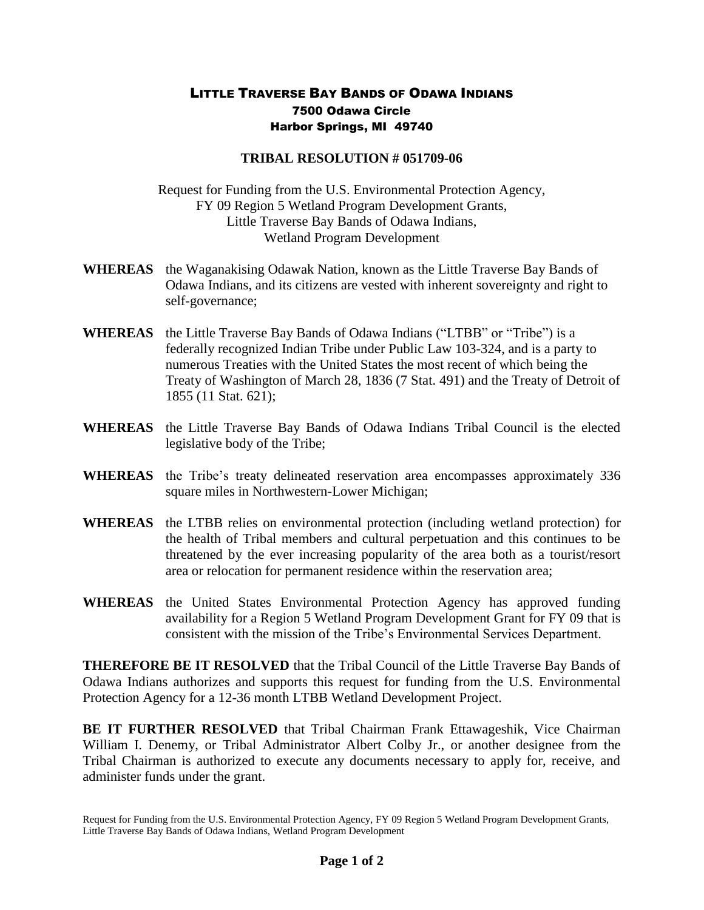## LITTLE TRAVERSE BAY BANDS OF ODAWA INDIANS 7500 Odawa Circle Harbor Springs, MI 49740

## **TRIBAL RESOLUTION # 051709-06**

Request for Funding from the U.S. Environmental Protection Agency, FY 09 Region 5 Wetland Program Development Grants, Little Traverse Bay Bands of Odawa Indians, Wetland Program Development

- **WHEREAS** the Waganakising Odawak Nation, known as the Little Traverse Bay Bands of Odawa Indians, and its citizens are vested with inherent sovereignty and right to self-governance;
- **WHEREAS** the Little Traverse Bay Bands of Odawa Indians ("LTBB" or "Tribe") is a federally recognized Indian Tribe under Public Law 103-324, and is a party to numerous Treaties with the United States the most recent of which being the Treaty of Washington of March 28, 1836 (7 Stat. 491) and the Treaty of Detroit of 1855 (11 Stat. 621);
- **WHEREAS** the Little Traverse Bay Bands of Odawa Indians Tribal Council is the elected legislative body of the Tribe;
- **WHEREAS** the Tribe's treaty delineated reservation area encompasses approximately 336 square miles in Northwestern-Lower Michigan;
- **WHEREAS** the LTBB relies on environmental protection (including wetland protection) for the health of Tribal members and cultural perpetuation and this continues to be threatened by the ever increasing popularity of the area both as a tourist/resort area or relocation for permanent residence within the reservation area;
- **WHEREAS** the United States Environmental Protection Agency has approved funding availability for a Region 5 Wetland Program Development Grant for FY 09 that is consistent with the mission of the Tribe's Environmental Services Department.

**THEREFORE BE IT RESOLVED** that the Tribal Council of the Little Traverse Bay Bands of Odawa Indians authorizes and supports this request for funding from the U.S. Environmental Protection Agency for a 12-36 month LTBB Wetland Development Project.

**BE IT FURTHER RESOLVED** that Tribal Chairman Frank Ettawageshik, Vice Chairman William I. Denemy, or Tribal Administrator Albert Colby Jr., or another designee from the Tribal Chairman is authorized to execute any documents necessary to apply for, receive, and administer funds under the grant.

Request for Funding from the U.S. Environmental Protection Agency, FY 09 Region 5 Wetland Program Development Grants, Little Traverse Bay Bands of Odawa Indians, Wetland Program Development